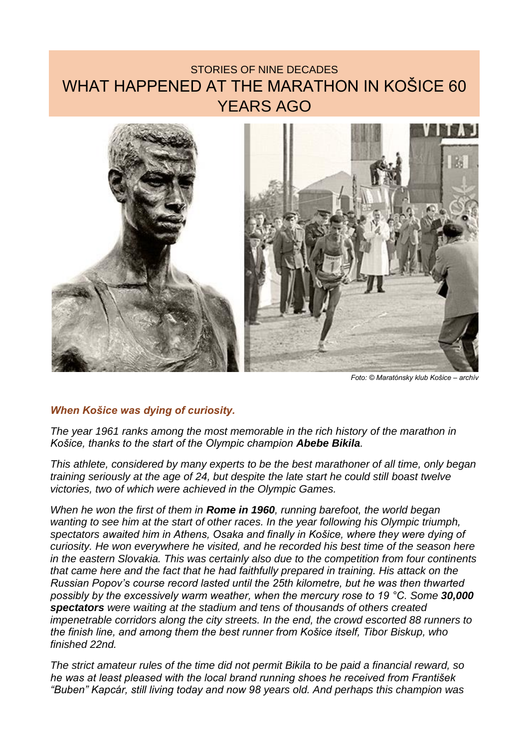## STORIES OF NINE DECADES WHAT HAPPENED AT THE MARATHON IN KOŠICE 60 YEARS AGO



*Foto: © Maratónsky klub Košice – archív*

## *When Košice was dying of curiosity.*

*The year 1961 ranks among the most memorable in the rich history of the marathon in Košice, thanks to the start of the Olympic champion Abebe Bikila.*

*This athlete, considered by many experts to be the best marathoner of all time, only began training seriously at the age of 24, but despite the late start he could still boast twelve victories, two of which were achieved in the Olympic Games.*

*When he won the first of them in Rome in 1960, running barefoot, the world began wanting to see him at the start of other races. In the year following his Olympic triumph, spectators awaited him in Athens, Osaka and finally in Košice, where they were dying of curiosity. He won everywhere he visited, and he recorded his best time of the season here in the eastern Slovakia. This was certainly also due to the competition from four continents that came here and the fact that he had faithfully prepared in training. His attack on the Russian Popov's course record lasted until the 25th kilometre, but he was then thwarted possibly by the excessively warm weather, when the mercury rose to 19 °C. Some 30,000 spectators were waiting at the stadium and tens of thousands of others created impenetrable corridors along the city streets. In the end, the crowd escorted 88 runners to the finish line, and among them the best runner from Košice itself, Tibor Biskup, who finished 22nd.*

*The strict amateur rules of the time did not permit Bikila to be paid a financial reward, so he was at least pleased with the local brand running shoes he received from František "Buben" Kapcár, still living today and now 98 years old. And perhaps this champion was*